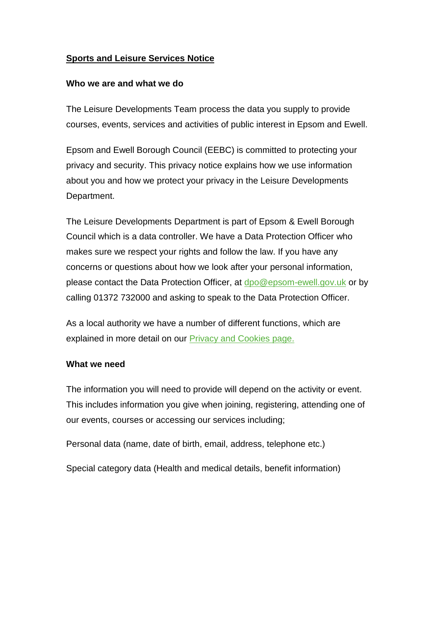## **Sports and Leisure Services Notice**

#### **Who we are and what we do**

The Leisure Developments Team process the data you supply to provide courses, events, services and activities of public interest in Epsom and Ewell.

Epsom and Ewell Borough Council (EEBC) is committed to protecting your privacy and security. This privacy notice explains how we use information about you and how we protect your privacy in the Leisure Developments Department.

The Leisure Developments Department is part of Epsom & Ewell Borough Council which is a data controller. We have a Data Protection Officer who makes sure we respect your rights and follow the law. If you have any concerns or questions about how we look after your personal information, please contact the Data Protection Officer, at [dpo@epsom-ewell.gov.uk](mailto:dpo@epsom-ewell.gov.uk) or by calling 01372 732000 and asking to speak to the Data Protection Officer.

As a local authority we have a number of different functions, which are explained in more detail on our **Privacy and Cookies page.** 

#### **What we need**

The information you will need to provide will depend on the activity or event. This includes information you give when joining, registering, attending one of our events, courses or accessing our services including;

Personal data (name, date of birth, email, address, telephone etc.)

Special category data (Health and medical details, benefit information)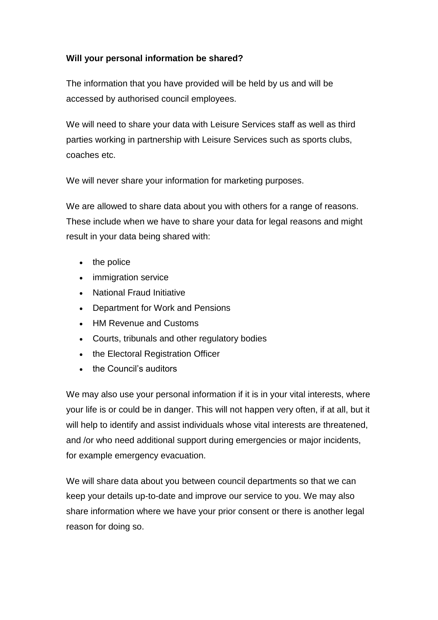# **Will your personal information be shared?**

The information that you have provided will be held by us and will be accessed by authorised council employees.

We will need to share your data with Leisure Services staff as well as third parties working in partnership with Leisure Services such as sports clubs, coaches etc.

We will never share your information for marketing purposes.

We are allowed to share data about you with others for a range of reasons. These include when we have to share your data for legal reasons and might result in your data being shared with:

- the police
- immigration service
- National Fraud Initiative
- Department for Work and Pensions
- HM Revenue and Customs
- Courts, tribunals and other regulatory bodies
- the Electoral Registration Officer
- the Council's auditors

We may also use your personal information if it is in your vital interests, where your life is or could be in danger. This will not happen very often, if at all, but it will help to identify and assist individuals whose vital interests are threatened, and /or who need additional support during emergencies or major incidents, for example emergency evacuation.

We will share data about you between council departments so that we can keep your details up-to-date and improve our service to you. We may also share information where we have your prior consent or there is another legal reason for doing so.